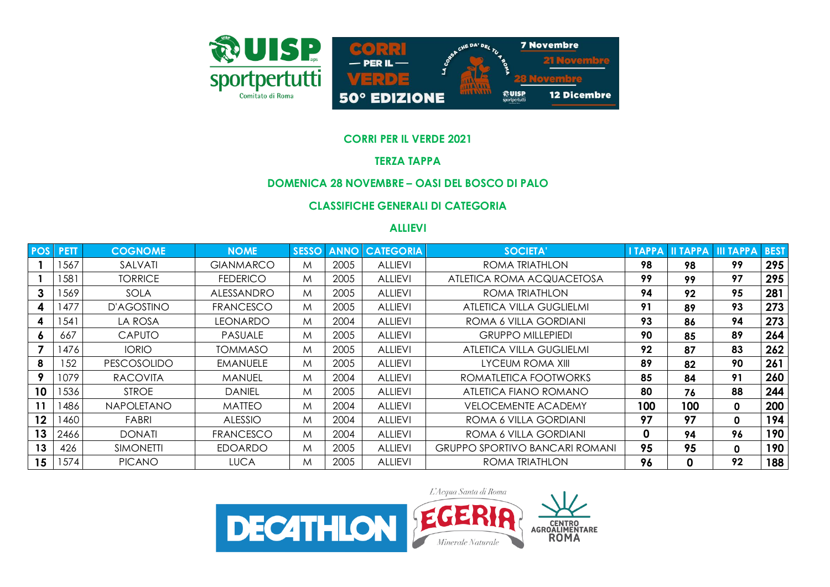

### **CORRI PER IL VERDE 2021**

#### **TERZA TAPPA**

# **DOMENICA 28 NOVEMBRE – OASI DEL BOSCO DI PALO**

# **CLASSIFICHE GENERALI DI CATEGORIA**

#### **ALLIEVI**

| <b>POS</b> | <b>PETT</b> | <b>COGNOME</b>     | <b>NOME</b>       | <b>SESSO</b> | <b>ANNO</b> | <b>CATEGORIA</b> | <b>SOCIETA'</b>                       | I TAPPA      | <b>II TAPPA</b> | <b>III TAPPA</b> | <b>BEST</b> |
|------------|-------------|--------------------|-------------------|--------------|-------------|------------------|---------------------------------------|--------------|-----------------|------------------|-------------|
|            | 567         | SALVATI            | <b>GIANMARCO</b>  | M            | 2005        | <b>ALLIEVI</b>   | ROMA TRIATHLON                        | 98           | 98              | 99               | 295         |
|            | 581         | <b>TORRICE</b>     | <b>FEDERICO</b>   | M            | 2005        | <b>ALLIEVI</b>   | ATLETICA ROMA ACQUACETOSA             | 99           | 99              | 97               | 295         |
| 3          | 1569        | <b>SOLA</b>        | <b>ALESSANDRO</b> | M            | 2005        | <b>ALLIEVI</b>   | ROMA TRIATHLON                        | 94           | 92              | 95               | 281         |
| 4          | 477         | D'AGOSTINO         | <b>FRANCESCO</b>  | M            | 2005        | <b>ALLIEVI</b>   | <b>ATLETICA VILLA GUGLIELMI</b>       | 91           | 89              | 93               | 273         |
| 4          | 541         | la ROSA            | <b>LEONARDO</b>   | M            | 2004        | <b>ALLIEVI</b>   | ROMA 6 VILLA GORDIANI                 | 93           | 86              | 94               | 273         |
| Ō          | 667         | <b>CAPUTO</b>      | <b>PASUALE</b>    | M            | 2005        | <b>ALLIEVI</b>   | <b>GRUPPO MILLEPIEDI</b>              | 90           | 85              | 89               | 264         |
|            | 476         | <b>IORIO</b>       | <b>TOMMASO</b>    | M            | 2005        | <b>ALLIEVI</b>   | ATLETICA VILLA GUGLIELMI              | 92           | 87              | 83               | 262         |
| 8          | 152         | <b>PESCOSOLIDO</b> | <b>EMANUELE</b>   | M            | 2005        | <b>ALLIEVI</b>   | LYCEUM ROMA XIII                      | 89           | 82              | 90               | 261         |
| $\bullet$  | 1079        | <b>RACOVITA</b>    | MANUEL            | M            | 2004        | <b>ALLIEVI</b>   | ROMATLETICA FOOTWORKS                 | 85           | 84              | 91               | 260         |
| 10         | 1536        | <b>STROE</b>       | <b>DANIEL</b>     | M            | 2005        | <b>ALLIEVI</b>   | ATLETICA FIANO ROMANO                 | 80           | 76              | 88               | 244         |
| 11         | 486         | <b>NAPOLETANO</b>  | <b>MATTEO</b>     | M            | 2004        | <b>ALLIEVI</b>   | <b>VELOCEMENTE ACADEMY</b>            | 100          | 100             | $\mathbf 0$      | 200         |
| 12         | 1460        | FABRI              | <b>ALESSIO</b>    | M            | 2004        | <b>ALLIEVI</b>   | ROMA 6 VILLA GORDIANI                 | 97           | 97              | $\mathbf{0}$     | 194         |
| 13         | 2466        | <b>DONATI</b>      | <b>FRANCESCO</b>  | M            | 2004        | <b>ALLIEVI</b>   | ROMA 6 VILLA GORDIANI                 | <sup>0</sup> | 94              | 96               | 190         |
| 13         | 426         | <b>SIMONETTI</b>   | <b>EDOARDO</b>    | M            | 2005        | <b>ALLIEVI</b>   | <b>GRUPPO SPORTIVO BANCARI ROMANI</b> | 95           | 95              | 0                | 190         |
| 15         | 1574        | <b>PICANO</b>      | <b>LUCA</b>       | M            | 2005        | <b>ALLIEVI</b>   | ROMA TRIATHLON                        | 96           | 0               | 92               | 188         |

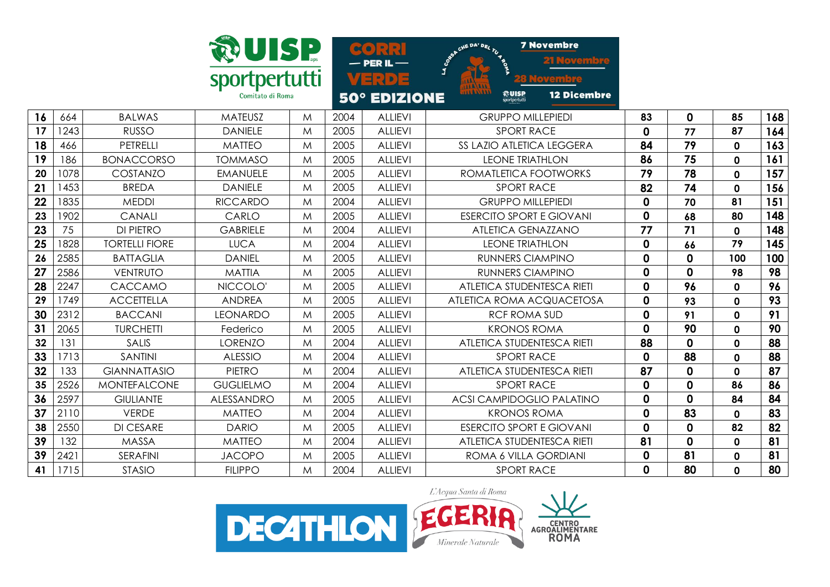

**7 Novembre** D<sub>EI</sub>  $C<sup>o</sup>$ loven  $-$  PER IL  $-$ VERDE vembre **<u>***<u>Routse</u>*</u> **12 Dicembre** 50° EDIZIONE

| 664  | <b>BALWAS</b>         | <b>MATEUSZ</b>    | M | 2004 | <b>ALLIEVI</b> | <b>GRUPPO MILLEPIEDI</b>         | 83          | 0           | 85  | 168 |
|------|-----------------------|-------------------|---|------|----------------|----------------------------------|-------------|-------------|-----|-----|
| 1243 | <b>RUSSO</b>          | <b>DANIELE</b>    | M | 2005 | <b>ALLIEVI</b> | <b>SPORT RACE</b>                | 0           | 77          | 87  | 164 |
| 466  | <b>PETRELLI</b>       | <b>MATTEO</b>     | M | 2005 | <b>ALLIEVI</b> | SS LAZIO ATLETICA LEGGERA        | 84          | 79          | 0   | 163 |
| 186  | <b>BONACCORSO</b>     | <b>TOMMASO</b>    | M | 2005 | <b>ALLIEVI</b> | <b>LEONE TRIATHLON</b>           | 86          | 75          | 0   | 161 |
| 1078 | COSTANZO              | EMANUELE          | M | 2005 | <b>ALLIEVI</b> | ROMATLETICA FOOTWORKS            | 79          | 78          | 0   | 157 |
| 1453 | <b>BREDA</b>          | <b>DANIELE</b>    | M | 2005 | <b>ALLIEVI</b> | <b>SPORT RACE</b>                | 82          | 74          | 0   | 156 |
| 1835 | <b>MEDDI</b>          | <b>RICCARDO</b>   | M | 2004 | <b>ALLIEVI</b> | <b>GRUPPO MILLEPIEDI</b>         | 0           | 70          | 81  | 151 |
| 1902 | <b>CANALI</b>         | CARLO             | M | 2005 | <b>ALLIEVI</b> | <b>ESERCITO SPORT E GIOVANI</b>  | 0           | 68          | 80  | 148 |
| 75   | <b>DI PIETRO</b>      | <b>GABRIELE</b>   | M | 2004 | <b>ALLIEVI</b> | <b>ATLETICA GENAZZANO</b>        | 77          | 71          | 0   | 148 |
| 1828 | <b>TORTELLI FIORE</b> | <b>LUCA</b>       | M | 2004 | <b>ALLIEVI</b> | <b>LEONE TRIATHLON</b>           | 0           | 66          | 79  | 145 |
| 2585 | <b>BATTAGLIA</b>      | <b>DANIEL</b>     | M | 2005 | <b>ALLIEVI</b> | RUNNERS CIAMPINO                 | 0           | 0           | 100 | 100 |
| 2586 | <b>VENTRUTO</b>       | <b>MATTIA</b>     | M | 2005 | <b>ALLIEVI</b> | <b>RUNNERS CIAMPINO</b>          | 0           | 0           | 98  | 98  |
| 2247 | CACCAMO               | NICCOLO'          | M | 2005 | <b>ALLIEVI</b> | ATLETICA STUDENTESCA RIETI       | 0           | 96          | 0   | 96  |
| 1749 | <b>ACCETTELLA</b>     | <b>ANDREA</b>     | M | 2005 | <b>ALLIEVI</b> | ATLETICA ROMA ACQUACETOSA        | $\mathbf 0$ | 93          | 0   | 93  |
| 2312 | <b>BACCANI</b>        | <b>LEONARDO</b>   | M | 2005 | <b>ALLIEVI</b> | <b>RCF ROMA SUD</b>              | $\mathbf 0$ | 91          | 0   | 91  |
| 2065 | <b>TURCHETTI</b>      | Federico          | M | 2005 | <b>ALLIEVI</b> | <b>KRONOS ROMA</b>               | 0           | 90          | 0   | 90  |
| 131  | <b>SALIS</b>          | <b>LORENZO</b>    | M | 2004 | <b>ALLIEVI</b> | ATLETICA STUDENTESCA RIETI       | 88          | 0           | 0   | 88  |
| 1713 | <b>SANTINI</b>        | <b>ALESSIO</b>    | M | 2004 | <b>ALLIEVI</b> | <b>SPORT RACE</b>                | 0           | 88          | 0   | 88  |
| 133  | <b>GIANNATTASIO</b>   | <b>PIETRO</b>     | M | 2004 | <b>ALLIEVI</b> | ATLETICA STUDENTESCA RIETI       | 87          | 0           | 0   | 87  |
| 2526 | <b>MONTEFALCONE</b>   | <b>GUGLIELMO</b>  | M | 2004 | <b>ALLIEVI</b> | <b>SPORT RACE</b>                | 0           | 0           | 86  | 86  |
| 2597 | <b>GIULIANTE</b>      | <b>ALESSANDRO</b> | M | 2005 | <b>ALLIEVI</b> | <b>ACSI CAMPIDOGLIO PALATINO</b> | 0           | 0           | 84  | 84  |
| 2110 | <b>VERDE</b>          | <b>MATTEO</b>     | M | 2004 | <b>ALLIEVI</b> | <b>KRONOS ROMA</b>               | $\mathbf 0$ | 83          | 0   | 83  |
| 2550 | <b>DI CESARE</b>      | <b>DARIO</b>      | M | 2005 | <b>ALLIEVI</b> | <b>ESERCITO SPORT E GIOVANI</b>  | 0           | 0           | 82  | 82  |
| 132  | MASSA                 | <b>MATTEO</b>     | M | 2004 | <b>ALLIEVI</b> | ATLETICA STUDENTESCA RIETI       | 81          | $\mathbf 0$ | 0   | 81  |
| 2421 | SERAFINI              | <b>JACOPO</b>     | M | 2005 | <b>ALLIEVI</b> | ROMA 6 VILLA GORDIANI            | 0           | 81          | 0   | 81  |
| 1715 | <b>STASIO</b>         | <b>FILIPPO</b>    | M | 2004 | <b>ALLIEVI</b> | <b>SPORT RACE</b>                | 0           | 80          | 0   | 80  |
|      |                       |                   |   |      |                |                                  |             |             |     |     |